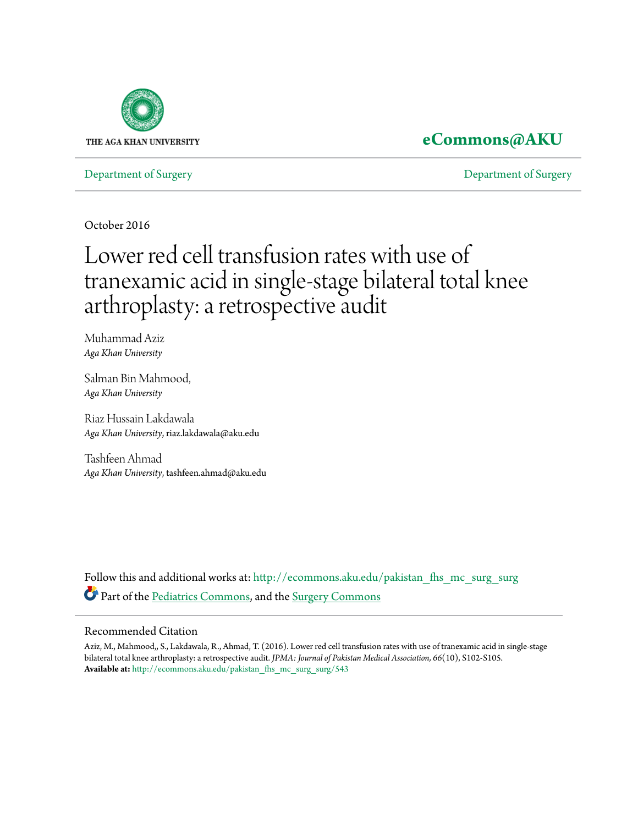

### **[eCommons@AKU](http://ecommons.aku.edu?utm_source=ecommons.aku.edu%2Fpakistan_fhs_mc_surg_surg%2F543&utm_medium=PDF&utm_campaign=PDFCoverPages)**

[Department of Surgery](http://ecommons.aku.edu/pakistan_fhs_mc_surg_surg?utm_source=ecommons.aku.edu%2Fpakistan_fhs_mc_surg_surg%2F543&utm_medium=PDF&utm_campaign=PDFCoverPages) [Department of Surgery](http://ecommons.aku.edu/pakistan_fhs_mc_surg?utm_source=ecommons.aku.edu%2Fpakistan_fhs_mc_surg_surg%2F543&utm_medium=PDF&utm_campaign=PDFCoverPages)

October 2016

# Lower red cell transfusion rates with use of tranexamic acid in single-stage bilateral total knee arthroplasty: a retrospective audit

Muhammad Aziz *Aga Khan University*

Salman Bin Mahmood, *Aga Khan University*

Riaz Hussain Lakdawala *Aga Khan University*, riaz.lakdawala@aku.edu

Tashfeen Ahmad *Aga Khan University*, tashfeen.ahmad@aku.edu

Follow this and additional works at: [http://ecommons.aku.edu/pakistan\\_fhs\\_mc\\_surg\\_surg](http://ecommons.aku.edu/pakistan_fhs_mc_surg_surg?utm_source=ecommons.aku.edu%2Fpakistan_fhs_mc_surg_surg%2F543&utm_medium=PDF&utm_campaign=PDFCoverPages) Part of the [Pediatrics Commons,](http://network.bepress.com/hgg/discipline/700?utm_source=ecommons.aku.edu%2Fpakistan_fhs_mc_surg_surg%2F543&utm_medium=PDF&utm_campaign=PDFCoverPages) and the [Surgery Commons](http://network.bepress.com/hgg/discipline/706?utm_source=ecommons.aku.edu%2Fpakistan_fhs_mc_surg_surg%2F543&utm_medium=PDF&utm_campaign=PDFCoverPages)

#### Recommended Citation

Aziz, M., Mahmood,, S., Lakdawala, R., Ahmad, T. (2016). Lower red cell transfusion rates with use of tranexamic acid in single-stage bilateral total knee arthroplasty: a retrospective audit. *JPMA: Journal of Pakistan Medical Association, 66*(10), S102-S105. **Available at:** [http://ecommons.aku.edu/pakistan\\_fhs\\_mc\\_surg\\_surg/543](http://ecommons.aku.edu/pakistan_fhs_mc_surg_surg/543)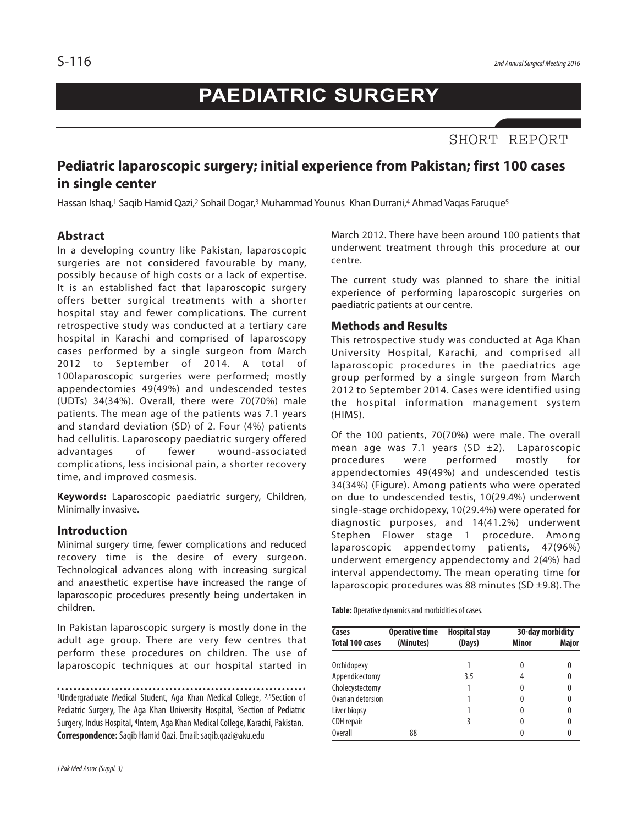## **PAEDIATRIC SURGERY**

SHORT REPORT

### **Pediatric laparoscopic surgery; initial experience from Pakistan; first 100 cases in single center**

Hassan Ishaq,<sup>1</sup> Saqib Hamid Qazi,<sup>2</sup> Sohail Dogar,<sup>3</sup> Muhammad Younus Khan Durrani,4 Ahmad Vaqas Faruque<sup>5</sup>

#### **Abstract**

In a developing country like Pakistan, laparoscopic surgeries are not considered favourable by many, possibly because of high costs or a lack of expertise. It is an established fact that laparoscopic surgery offers better surgical treatments with a shorter hospital stay and fewer complications. The current retrospective study was conducted at a tertiary care hospital in Karachi and comprised of laparoscopy cases performed by a single surgeon from March 2012 to September of 2014. A total of 100laparoscopic surgeries were performed; mostly appendectomies 49(49%) and undescended testes (UDTs) 34(34%). Overall, there were 70(70%) male patients. The mean age of the patients was 7.1 years and standard deviation (SD) of 2. Four (4%) patients had cellulitis. Laparoscopy paediatric surgery offered advantages of fewer wound-associated complications, less incisional pain, a shorter recovery time, and improved cosmesis.

**Keywords:** Laparoscopic paediatric surgery, Children, Minimally invasive.

#### **Introduction**

Minimal surgery time, fewer complications and reduced recovery time is the desire of every surgeon. Technological advances along with increasing surgical and anaesthetic expertise have increased the range of laparoscopic procedures presently being undertaken in children.

In Pakistan laparoscopic surgery is mostly done in the adult age group. There are very few centres that perform these procedures on children. The use of laparoscopic techniques at our hospital started in

<sup>1</sup>Undergraduate Medical Student, Aga Khan Medical College, <sup>2,5</sup>Section of Pediatric Surgery, The Aga Khan University Hospital, <sup>3</sup>Section of Pediatric Surgery, Indus Hospital, <sup>4</sup>Intern, Aga Khan Medical College, Karachi, Pakistan. **Correspondence:**Saqib Hamid Qazi.Email: saqib.qazi@aku.edu

March 2012. There have been around 100 patients that underwent treatment through this procedure at our centre.

The current study was planned to share the initial experience of performing laparoscopic surgeries on paediatric patients at our centre.

#### **Methods and Results**

This retrospective study was conducted at Aga Khan University Hospital, Karachi, and comprised all laparoscopic procedures in the paediatrics age group performed by a single surgeon from March 2012 to September 2014. Cases were identified using the hospital information management system (HIMS).

Of the 100 patients, 70(70%) were male. The overall mean age was 7.1 years (SD  $\pm$ 2). Laparoscopic<br>procedures were performed mostly for procedures were performed mostly for appendectomies 49(49%) and undescended testis 34(34%) (Figure). Among patients who were operated on due to undescended testis, 10(29.4%) underwent single-stage orchidopexy, 10(29.4%) were operated for diagnostic purposes, and 14(41.2%) underwent Stephen Flower stage 1 procedure. Among laparoscopic appendectomy patients, 47(96%) underwent emergency appendectomy and 2(4%) had interval appendectomy. The mean operating time for laparoscopic procedures was 88 minutes (SD  $\pm$ 9.8). The

**Table:** Operative dynamics and morbidities of cases.

| Cases<br><b>Total 100 cases</b> | <b>Operative time</b><br>(Minutes) | <b>Hospital stay</b><br>(Days) | 30-day morbidity |       |
|---------------------------------|------------------------------------|--------------------------------|------------------|-------|
|                                 |                                    |                                | Minor            | Major |
| Orchidopexy                     |                                    |                                | O                |       |
| Appendicectomy                  |                                    | 3.5                            |                  |       |
| Cholecystectomy                 |                                    |                                | 0                |       |
| Ovarian detorsion               |                                    |                                | 0                |       |
| Liver biopsy                    |                                    |                                | 0                |       |
| CDH repair                      |                                    |                                |                  |       |
| Overall                         | 88                                 |                                |                  |       |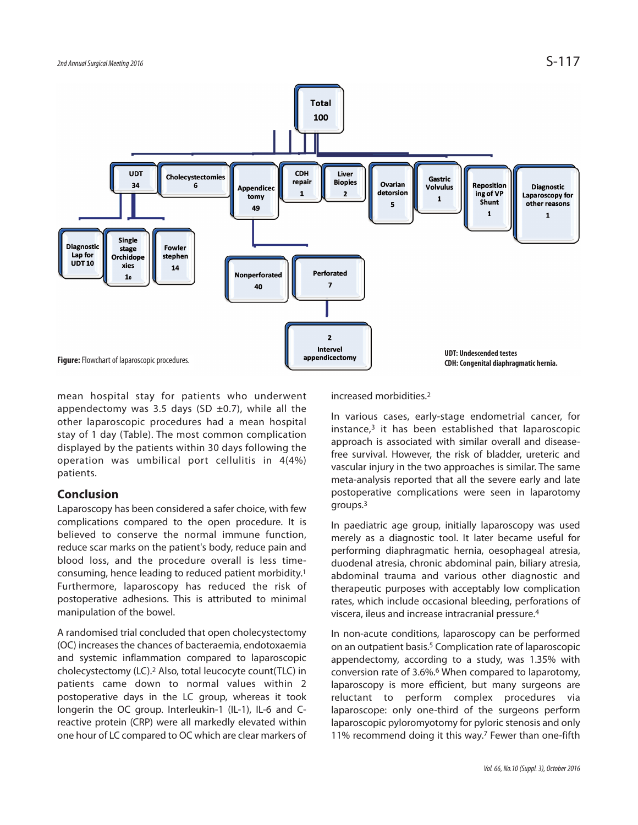

mean hospital stay for patients who underwent appendectomy was 3.5 days (SD  $\pm$ 0.7), while all the other laparoscopic procedures had a mean hospital stay of 1 day (Table). The most common complication displayed by the patients within 30 days following the operation was umbilical port cellulitis in 4(4%) patients.

#### **Conclusion**

Laparoscopy has been considered a safer choice, with few complications compared to the open procedure. It is believed to conserve the normal immune function, reduce scar marks on the patient's body, reduce pain and blood loss, and the procedure overall is less timeconsuming, hence leading to reduced patient morbidity. 1 Furthermore, laparoscopy has reduced the risk of postoperative adhesions. This is attributed to minimal manipulation of the bowel.

A randomised trial concluded that open cholecystectomy (OC) increases the chances of bacteraemia, endotoxaemia and systemic inflammation compared to laparoscopic cholecystectomy (LC). <sup>2</sup> Also, total leucocyte count(TLC) in patients came down to normal values within 2 postoperative days in the LC group, whereas it took longerin the OC group. Interleukin-1 (IL-1), IL-6 and Creactive protein (CRP) were all markedly elevated within one hour of LC compared to OC which are clear markers of increased morbidities. 2

In various cases, early-stage endometrial cancer, for instance, <sup>3</sup> it has been established that laparoscopic approach is associated with similar overall and diseasefree survival. However, the risk of bladder, ureteric and vascular injury in the two approaches is similar. The same meta-analysis reported that all the severe early and late postoperative complications were seen in laparotomy groups. 3

In paediatric age group, initially laparoscopy was used merely as a diagnostic tool. It later became useful for performing diaphragmatic hernia, oesophageal atresia, duodenal atresia, chronic abdominal pain, biliary atresia, abdominal trauma and various other diagnostic and therapeutic purposes with acceptably low complication rates, which include occasional bleeding, perforations of viscera, ileus and increase intracranial pressure. 4

In non-acute conditions, laparoscopy can be performed on an outpatient basis. <sup>5</sup> Complication rate of laparoscopic appendectomy, according to a study, was 1.35% with conversion rate of 3.6%. <sup>6</sup> When compared to laparotomy, laparoscopy is more efficient, but many surgeons are reluctant to perform complex procedures via laparoscope: only one-third of the surgeons perform laparoscopic pyloromyotomy for pyloric stenosis and only 11% recommend doing it this way. <sup>7</sup> Fewer than one-fifth